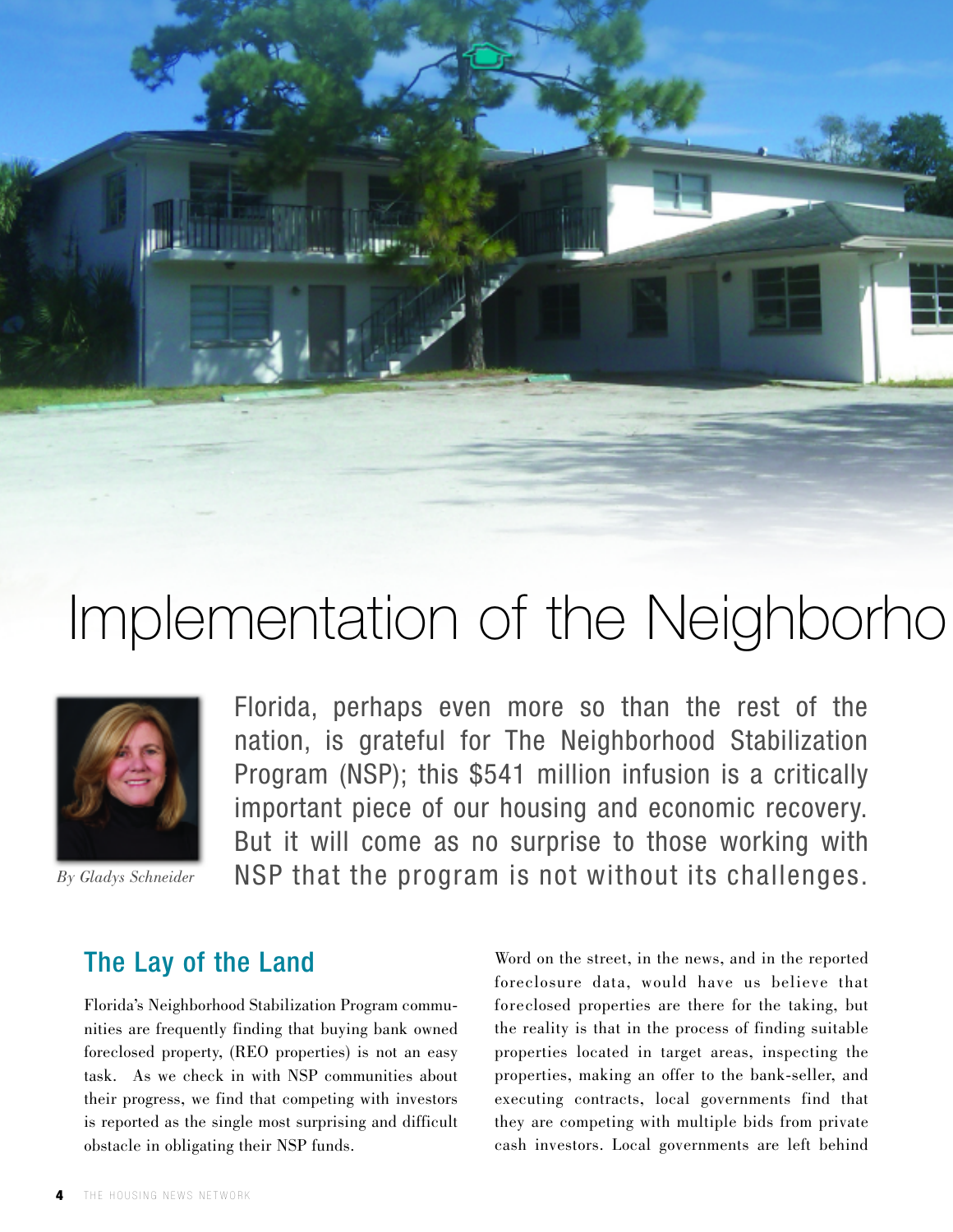



Florida, perhaps even more so than the rest of the nation, is grateful for The Neighborhood Stabilization Program (NSP); this \$541 million infusion is a critically important piece of our housing and economic recovery. But it will come as no surprise to those working with NSP that the program is not without its challenges.

*By Gladys Schneider*

## The Lay of the Land

Florida's Neighborhood Stabilization Program communities are frequently finding that buying bank owned foreclosed property, (REO properties) is not an easy task. As we check in with NSP communities about their progress, we find that competing with investors is reported as the single most surprising and difficult obstacle in obligating their NSP funds.

Word on the street, in the news, and in the reported foreclosure data, would have us believe that foreclosed properties are there for the taking, but the reality is that in the process of finding suitable properties located in target areas, inspecting the properties, making an offer to the bank-seller, and executing contracts, local governments find that they are competing with multiple bids from private cash investors. Local governments are left behind